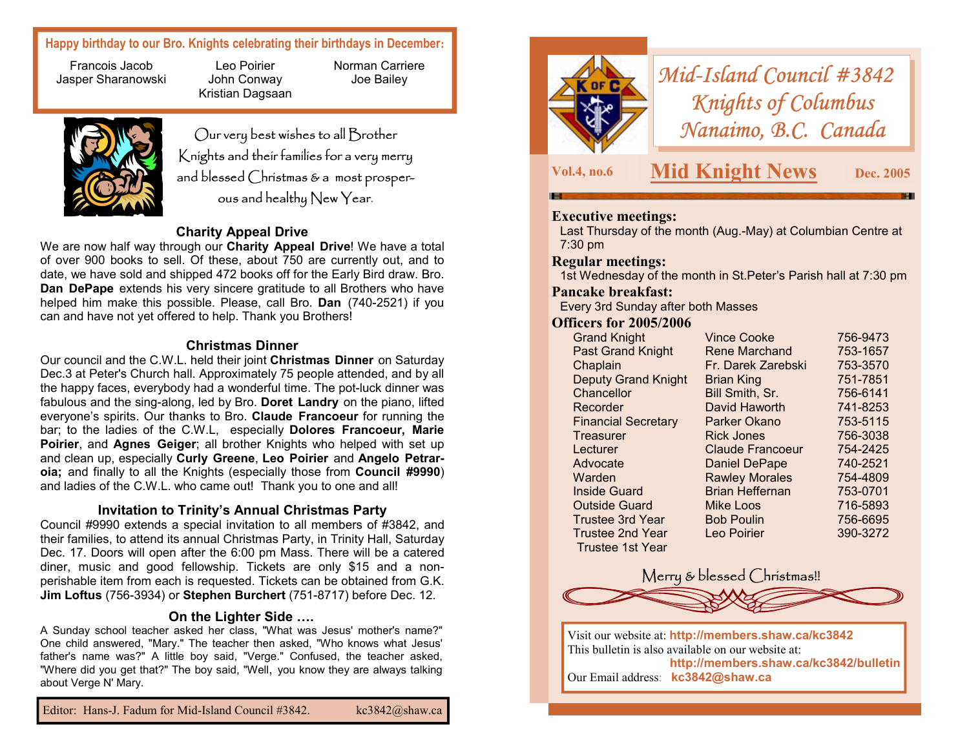# **Happy birthday to our Bro. Knights celebrating their birthdays in December:**

Francois Jacob Jasper Sharanowski

Leo Poirier John Conway Kristian Dagsaan



Our very best wishes to all Brother Knights and their families for a very merry and blessed Christmas & a most prosperous and healthy New Year.

Norman Carriere Joe Bailey

# **Charity Appeal Drive**

We are now half way through our **Charity Appeal Drive**! We have a total of over 900 books to sell. Of these, about 750 are currently out, and to date, we have sold and shipped 472 books off for the Early Bird draw. Bro. **Dan DePape** extends his very sincere gratitude to all Brothers who have helped him make this possible. Please, call Bro. **Dan** (740-2521) if you can and have not yet offered to help. Thank you Brothers!

### **Christmas Dinner**

Our council and the C.W.L. held their joint **Christmas Dinner** on Saturday Dec.3 at Peter's Church hall. Approximately 75 people attended, and by all the happy faces, everybody had a wonderful time. The pot-luck dinner was fabulous and the sing-along, led by Bro. **Doret Landry** on the piano, lifted everyone's spirits. Our thanks to Bro. **Claude Francoeur** for running the bar; to the ladies of the C.W.L, especially **Dolores Francoeur, Marie Poirier**, and **Agnes Geiger**; all brother Knights who helped with set up and clean up, especially **Curly Greene**, **Leo Poirier** and **Angelo Petraroia;** and finally to all the Knights (especially those from **Council #9990**) and ladies of the C.W.L. who came out! Thank you to one and all!

### **Invitation to Trinity's Annual Christmas Party**

Council #9990 extends a special invitation to all members of #3842, and their families, to attend its annual Christmas Party, in Trinity Hall, Saturday Dec. 17. Doors will open after the 6:00 pm Mass. There will be a catered diner, music and good fellowship. Tickets are only \$15 and a nonperishable item from each is requested. Tickets can be obtained from G.K. **Jim Loftus** (756-3934) or **Stephen Burchert** (751-8717) before Dec. 12.

#### **On the Lighter Side ….**

A Sunday school teacher asked her class, "What was Jesus' mother's name?" One child answered, "Mary." The teacher then asked, "Who knows what Jesus' father's name was?" A little boy said, "Verge." Confused, the teacher asked, "Where did you get that?" The boy said, "Well, you know they are always talking about Verge N' Mary.



*Mid-Island Council #3842 Knights of Columbus Nanaimo, B.C. Canada* 

**Vol.4, no.6 Mid Knight News Dec. 2005** 

# **Executive meetings:**

Last Thursday of the month (Aug.-May) at Columbian Centre at 7:30 pm

#### **Regular meetings:**

1st Wednesday of the month in St.Peter's Parish hall at 7:30 pm

#### **Pancake breakfast:**

Every 3rd Sunday after both Masses

#### **Officers for 2005/2006**

| <b>Grand Knight</b>        | <b>Vince Cooke</b>      | 756-9473 |
|----------------------------|-------------------------|----------|
| <b>Past Grand Knight</b>   | <b>Rene Marchand</b>    | 753-1657 |
| Chaplain                   | Fr. Darek Zarebski      | 753-3570 |
| <b>Deputy Grand Knight</b> | <b>Brian King</b>       | 751-7851 |
| Chancellor                 | Bill Smith, Sr.         | 756-6141 |
| Recorder                   | David Haworth           | 741-8253 |
| <b>Financial Secretary</b> | Parker Okano            | 753-5115 |
| Treasurer                  | <b>Rick Jones</b>       | 756-3038 |
| Lecturer                   | <b>Claude Francoeur</b> | 754-2425 |
| Advocate                   | <b>Daniel DePape</b>    | 740-2521 |
| Warden                     | <b>Rawley Morales</b>   | 754-4809 |
| <b>Inside Guard</b>        | <b>Brian Heffernan</b>  | 753-0701 |
| <b>Outside Guard</b>       | <b>Mike Loos</b>        | 716-5893 |
| Trustee 3rd Year           | <b>Bob Poulin</b>       | 756-6695 |
| <b>Trustee 2nd Year</b>    | Leo Poirier             | 390-3272 |
| Trustee 1st Year           |                         |          |
|                            |                         |          |



Visit our website at: **http://members.shaw.ca/kc3842**  This bulletin is also available on our website at: **http://members.shaw.ca/kc3842/bulletin**  Our Email address: **kc3842@shaw.ca**